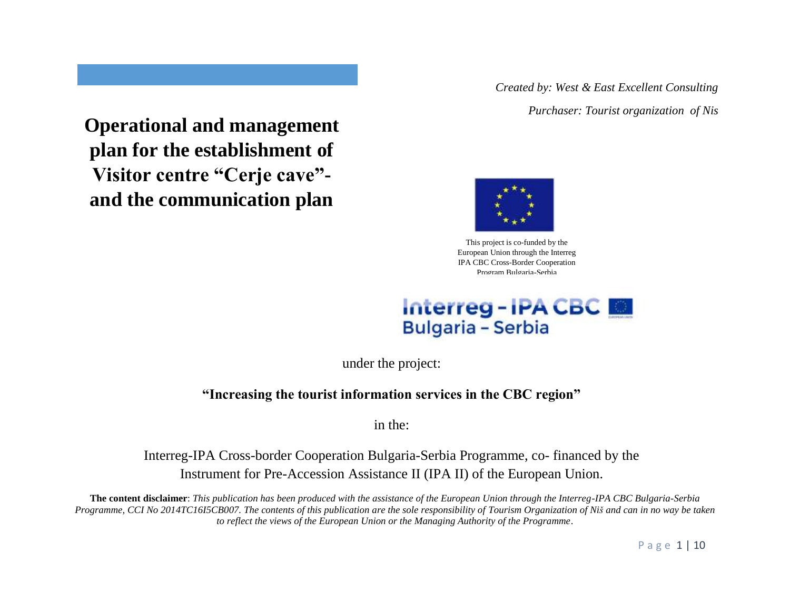*Created by: West & East Excellent Consulting*

*Purchaser: Tourist organization of Nis*



This project is co-funded by the European Union through the Interreg IPA CBC Cross-Border Cooperation Program Bulgaria-Serbia



under the project:

**"Increasing the tourist information services in the CBC region"**

in the:

Interreg-IPA Cross-border Cooperation Bulgaria-Serbia Programme, co- financed by the Instrument for Pre-Accession Assistance II (IPA II) of the European Union.

**The content disclaimer**: *This publication has been produced with the assistance of the European Union through the Interreg-IPA CBC Bulgaria-Serbia Programme, CCI No 2014TC16I5CB007. The contents of this publication are the sole responsibility of Tourism Organization of Niš and can in no way be taken to reflect the views of the European Union or the Managing Authority of the Programme*.

P a g e 1 | 10

**Operational and management plan for the establishment of Visitor centre "Cerje cave" and the communication plan**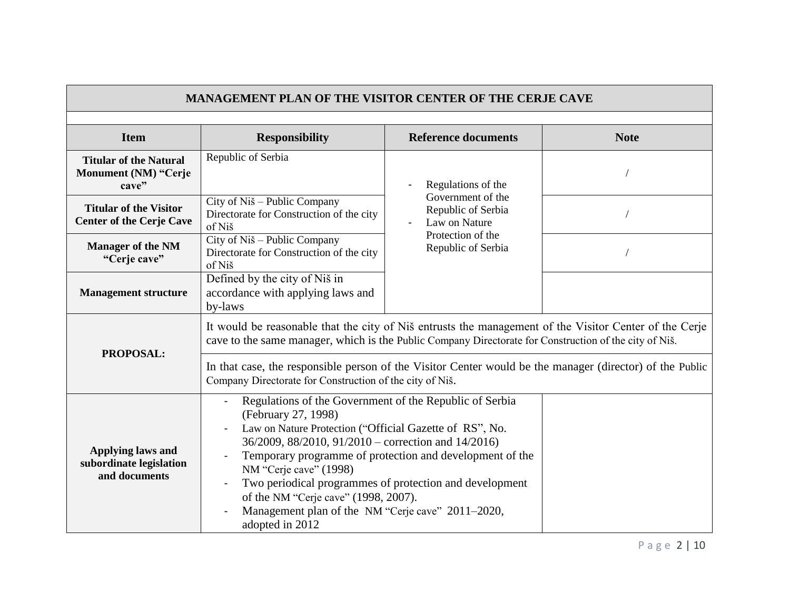| <b>MANAGEMENT PLAN OF THE VISITOR CENTER OF THE CERJE CAVE</b>       |                                                                                                                                                                                                                                                                                                                                                                                                                                                                                               |                                                                                                                           |             |  |
|----------------------------------------------------------------------|-----------------------------------------------------------------------------------------------------------------------------------------------------------------------------------------------------------------------------------------------------------------------------------------------------------------------------------------------------------------------------------------------------------------------------------------------------------------------------------------------|---------------------------------------------------------------------------------------------------------------------------|-------------|--|
| <b>Item</b>                                                          | <b>Responsibility</b>                                                                                                                                                                                                                                                                                                                                                                                                                                                                         | <b>Reference documents</b>                                                                                                | <b>Note</b> |  |
| <b>Titular of the Natural</b><br>Monument (NM) "Cerje<br>cave"       | Republic of Serbia                                                                                                                                                                                                                                                                                                                                                                                                                                                                            | Regulations of the<br>Government of the<br>Republic of Serbia<br>Law on Nature<br>Protection of the<br>Republic of Serbia |             |  |
| <b>Titular of the Visitor</b><br><b>Center of the Cerje Cave</b>     | City of Niš – Public Company<br>Directorate for Construction of the city<br>of Niš                                                                                                                                                                                                                                                                                                                                                                                                            |                                                                                                                           |             |  |
| <b>Manager of the NM</b><br>"Cerje cave"                             | City of Niš – Public Company<br>Directorate for Construction of the city<br>of Niš                                                                                                                                                                                                                                                                                                                                                                                                            |                                                                                                                           |             |  |
| <b>Management structure</b>                                          | Defined by the city of Niš in<br>accordance with applying laws and<br>by-laws                                                                                                                                                                                                                                                                                                                                                                                                                 |                                                                                                                           |             |  |
| PROPOSAL:                                                            | It would be reasonable that the city of Niš entrusts the management of the Visitor Center of the Cerje<br>cave to the same manager, which is the Public Company Directorate for Construction of the city of Niš.                                                                                                                                                                                                                                                                              |                                                                                                                           |             |  |
|                                                                      | In that case, the responsible person of the Visitor Center would be the manager (director) of the Public<br>Company Directorate for Construction of the city of Niš.                                                                                                                                                                                                                                                                                                                          |                                                                                                                           |             |  |
| <b>Applying laws and</b><br>subordinate legislation<br>and documents | Regulations of the Government of the Republic of Serbia<br>$\overline{\phantom{a}}$<br>(February 27, 1998)<br>Law on Nature Protection ("Official Gazette of RS", No.<br>36/2009, 88/2010, 91/2010 – correction and 14/2016)<br>Temporary programme of protection and development of the<br>NM "Cerje cave" (1998)<br>Two periodical programmes of protection and development<br>of the NM "Cerje cave" (1998, 2007).<br>Management plan of the NM "Cerje cave" 2011-2020,<br>adopted in 2012 |                                                                                                                           |             |  |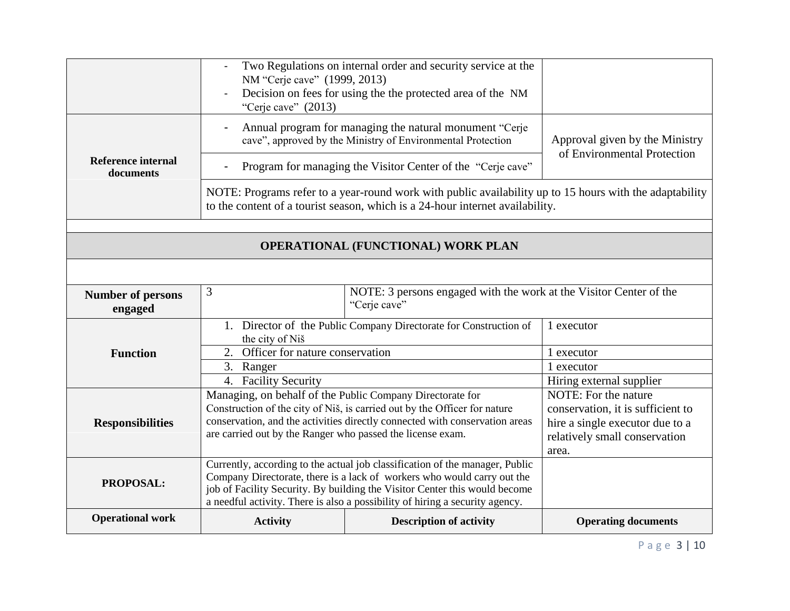|                                           | Two Regulations on internal order and security service at the<br>NM "Cerje cave" (1999, 2013)<br>Decision on fees for using the the protected area of the NM<br>"Cerje cave" $(2013)$                                                                                                                                 |                                    |                                                                                                                                        |  |
|-------------------------------------------|-----------------------------------------------------------------------------------------------------------------------------------------------------------------------------------------------------------------------------------------------------------------------------------------------------------------------|------------------------------------|----------------------------------------------------------------------------------------------------------------------------------------|--|
| <b>Reference internal</b><br>documents    | Annual program for managing the natural monument "Cerje<br>cave", approved by the Ministry of Environmental Protection<br>Program for managing the Visitor Center of the "Cerje cave"                                                                                                                                 |                                    | Approval given by the Ministry<br>of Environmental Protection                                                                          |  |
|                                           | NOTE: Programs refer to a year-round work with public availability up to 15 hours with the adaptability<br>to the content of a tourist season, which is a 24-hour internet availability.                                                                                                                              |                                    |                                                                                                                                        |  |
| <b>OPERATIONAL (FUNCTIONAL) WORK PLAN</b> |                                                                                                                                                                                                                                                                                                                       |                                    |                                                                                                                                        |  |
|                                           |                                                                                                                                                                                                                                                                                                                       |                                    |                                                                                                                                        |  |
| <b>Number of persons</b><br>engaged       | 3<br>NOTE: 3 persons engaged with the work at the Visitor Center of the<br>"Cerje cave"                                                                                                                                                                                                                               |                                    |                                                                                                                                        |  |
|                                           | 1. Director of the Public Company Directorate for Construction of<br>the city of Niš                                                                                                                                                                                                                                  |                                    | 1 executor                                                                                                                             |  |
| <b>Function</b>                           |                                                                                                                                                                                                                                                                                                                       | 2. Officer for nature conservation |                                                                                                                                        |  |
|                                           | 3. Ranger                                                                                                                                                                                                                                                                                                             |                                    | 1 executor                                                                                                                             |  |
|                                           | 4. Facility Security                                                                                                                                                                                                                                                                                                  |                                    | Hiring external supplier                                                                                                               |  |
| <b>Responsibilities</b>                   | Managing, on behalf of the Public Company Directorate for<br>Construction of the city of Niš, is carried out by the Officer for nature<br>conservation, and the activities directly connected with conservation areas<br>are carried out by the Ranger who passed the license exam.                                   |                                    | NOTE: For the nature<br>conservation, it is sufficient to<br>hire a single executor due to a<br>relatively small conservation<br>area. |  |
| PROPOSAL:                                 | Currently, according to the actual job classification of the manager, Public<br>Company Directorate, there is a lack of workers who would carry out the<br>job of Facility Security. By building the Visitor Center this would become<br>a needful activity. There is also a possibility of hiring a security agency. |                                    |                                                                                                                                        |  |
| <b>Operational work</b>                   | <b>Activity</b>                                                                                                                                                                                                                                                                                                       | <b>Description of activity</b>     | <b>Operating documents</b>                                                                                                             |  |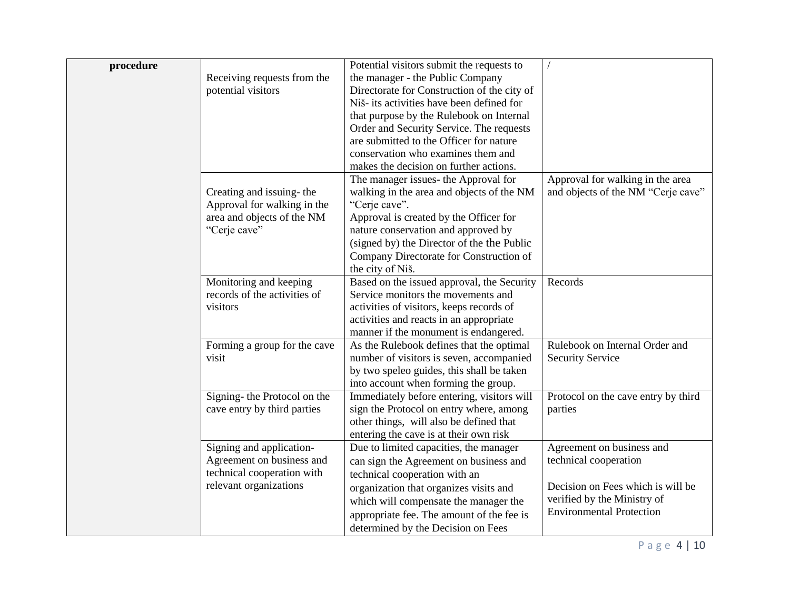| procedure |                              | Potential visitors submit the requests to                                         |                                     |
|-----------|------------------------------|-----------------------------------------------------------------------------------|-------------------------------------|
|           | Receiving requests from the  | the manager - the Public Company                                                  |                                     |
|           | potential visitors           | Directorate for Construction of the city of                                       |                                     |
|           |                              | Niš- its activities have been defined for                                         |                                     |
|           |                              | that purpose by the Rulebook on Internal                                          |                                     |
|           |                              | Order and Security Service. The requests                                          |                                     |
|           |                              | are submitted to the Officer for nature                                           |                                     |
|           |                              | conservation who examines them and                                                |                                     |
|           |                              | makes the decision on further actions.                                            |                                     |
|           |                              | The manager issues- the Approval for                                              | Approval for walking in the area    |
|           | Creating and issuing-the     | walking in the area and objects of the NM                                         | and objects of the NM "Cerje cave"  |
|           | Approval for walking in the  | "Cerje cave".                                                                     |                                     |
|           | area and objects of the NM   | Approval is created by the Officer for                                            |                                     |
|           | "Cerje cave"                 | nature conservation and approved by                                               |                                     |
|           |                              | (signed by) the Director of the the Public                                        |                                     |
|           |                              | Company Directorate for Construction of                                           |                                     |
|           |                              | the city of Niš.                                                                  |                                     |
|           | Monitoring and keeping       | Based on the issued approval, the Security                                        | Records                             |
|           | records of the activities of | Service monitors the movements and                                                |                                     |
|           | visitors                     | activities of visitors, keeps records of                                          |                                     |
|           |                              | activities and reacts in an appropriate                                           |                                     |
|           |                              | manner if the monument is endangered.                                             |                                     |
|           | Forming a group for the cave | As the Rulebook defines that the optimal                                          | Rulebook on Internal Order and      |
|           | visit                        | number of visitors is seven, accompanied                                          | <b>Security Service</b>             |
|           |                              | by two speleo guides, this shall be taken                                         |                                     |
|           |                              | into account when forming the group.                                              |                                     |
|           | Signing- the Protocol on the | Immediately before entering, visitors will                                        | Protocol on the cave entry by third |
|           | cave entry by third parties  | sign the Protocol on entry where, among                                           | parties                             |
|           |                              | other things, will also be defined that<br>entering the cave is at their own risk |                                     |
|           | Signing and application-     | Due to limited capacities, the manager                                            | Agreement on business and           |
|           | Agreement on business and    | can sign the Agreement on business and                                            | technical cooperation               |
|           | technical cooperation with   | technical cooperation with an                                                     |                                     |
|           | relevant organizations       |                                                                                   | Decision on Fees which is will be   |
|           |                              | organization that organizes visits and<br>which will compensate the manager the   | verified by the Ministry of         |
|           |                              |                                                                                   | <b>Environmental Protection</b>     |
|           |                              | appropriate fee. The amount of the fee is                                         |                                     |
|           |                              | determined by the Decision on Fees                                                |                                     |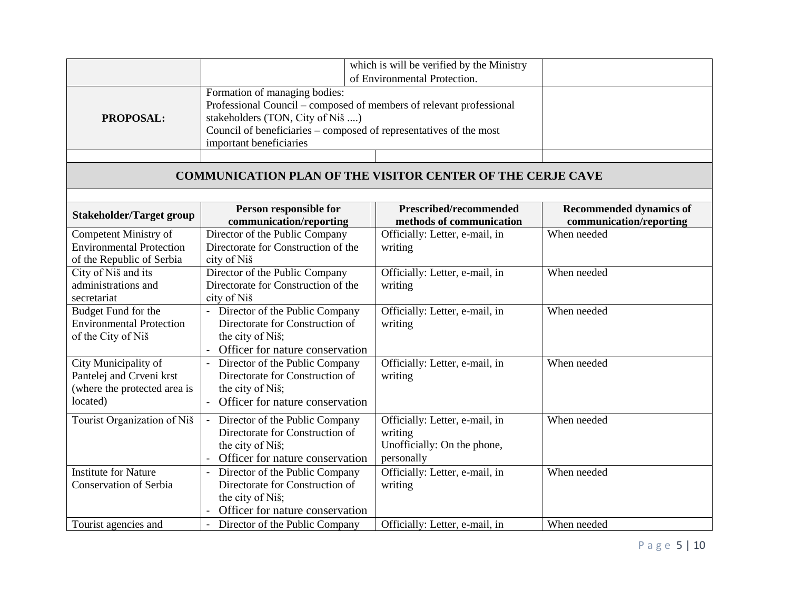|                                                                                              |                                                                                                                                                                                                                                                                           | which is will be verified by the Ministry                                              |                                                           |
|----------------------------------------------------------------------------------------------|---------------------------------------------------------------------------------------------------------------------------------------------------------------------------------------------------------------------------------------------------------------------------|----------------------------------------------------------------------------------------|-----------------------------------------------------------|
| <b>PROPOSAL:</b>                                                                             | of Environmental Protection.<br>Formation of managing bodies:<br>Professional Council – composed of members of relevant professional<br>stakeholders (TON, City of Niš )<br>Council of beneficiaries – composed of representatives of the most<br>important beneficiaries |                                                                                        |                                                           |
|                                                                                              |                                                                                                                                                                                                                                                                           |                                                                                        |                                                           |
|                                                                                              | <b>COMMUNICATION PLAN OF THE VISITOR CENTER OF THE CERJE CAVE</b>                                                                                                                                                                                                         |                                                                                        |                                                           |
| <b>Stakeholder/Target group</b>                                                              | Person responsible for<br>communication/reporting                                                                                                                                                                                                                         | Prescribed/recommended<br>methods of communication                                     | <b>Recommended dynamics of</b><br>communication/reporting |
| Competent Ministry of<br><b>Environmental Protection</b><br>of the Republic of Serbia        | Director of the Public Company<br>Directorate for Construction of the<br>city of Niš                                                                                                                                                                                      | Officially: Letter, e-mail, in<br>writing                                              | When needed                                               |
| City of Niš and its<br>administrations and<br>secretariat                                    | Director of the Public Company<br>Directorate for Construction of the<br>city of Niš                                                                                                                                                                                      | Officially: Letter, e-mail, in<br>writing                                              | When needed                                               |
| Budget Fund for the<br><b>Environmental Protection</b><br>of the City of Niš                 | - Director of the Public Company<br>Directorate for Construction of<br>the city of Niš;<br>Officer for nature conservation                                                                                                                                                | Officially: Letter, e-mail, in<br>writing                                              | When needed                                               |
| City Municipality of<br>Pantelej and Crveni krst<br>(where the protected area is<br>located) | Director of the Public Company<br>Directorate for Construction of<br>the city of Niš;<br>Officer for nature conservation                                                                                                                                                  | Officially: Letter, e-mail, in<br>writing                                              | When needed                                               |
| Tourist Organization of Niš                                                                  | Director of the Public Company<br>$\blacksquare$<br>Directorate for Construction of<br>the city of Niš;<br>Officer for nature conservation                                                                                                                                | Officially: Letter, e-mail, in<br>writing<br>Unofficially: On the phone,<br>personally | When needed                                               |
| <b>Institute for Nature</b><br><b>Conservation of Serbia</b>                                 | Director of the Public Company<br>$\blacksquare$<br>Directorate for Construction of<br>the city of Niš;<br>Officer for nature conservation                                                                                                                                | Officially: Letter, e-mail, in<br>writing                                              | When needed                                               |
| Tourist agencies and                                                                         | Director of the Public Company                                                                                                                                                                                                                                            | Officially: Letter, e-mail, in                                                         | When needed                                               |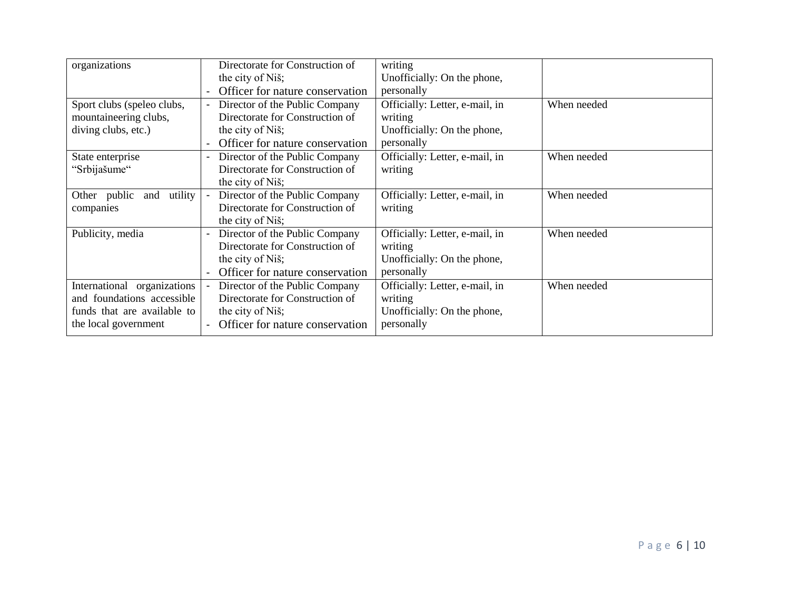| organizations               |                          | Directorate for Construction of | writing                        |             |
|-----------------------------|--------------------------|---------------------------------|--------------------------------|-------------|
|                             |                          | the city of Niš;                | Unofficially: On the phone,    |             |
|                             |                          | Officer for nature conservation | personally                     |             |
| Sport clubs (speleo clubs,  |                          | Director of the Public Company  | Officially: Letter, e-mail, in | When needed |
| mountaineering clubs,       |                          | Directorate for Construction of | writing                        |             |
| diving clubs, etc.)         |                          | the city of Niš;                | Unofficially: On the phone,    |             |
|                             |                          | Officer for nature conservation | personally                     |             |
| State enterprise            |                          | Director of the Public Company  | Officially: Letter, e-mail, in | When needed |
| "Srbijašume"                |                          | Directorate for Construction of | writing                        |             |
|                             |                          | the city of Niš;                |                                |             |
| and utility<br>Other public | $\blacksquare$           | Director of the Public Company  | Officially: Letter, e-mail, in | When needed |
| companies                   |                          | Directorate for Construction of | writing                        |             |
|                             |                          | the city of Niš;                |                                |             |
| Publicity, media            | $\overline{\phantom{a}}$ | Director of the Public Company  | Officially: Letter, e-mail, in | When needed |
|                             |                          | Directorate for Construction of | writing                        |             |
|                             |                          | the city of Niš;                | Unofficially: On the phone,    |             |
|                             |                          | Officer for nature conservation | personally                     |             |
| International organizations | $\blacksquare$           | Director of the Public Company  | Officially: Letter, e-mail, in | When needed |
| and foundations accessible  |                          | Directorate for Construction of | writing                        |             |
| funds that are available to |                          | the city of Niš;                | Unofficially: On the phone,    |             |
| the local government        |                          | Officer for nature conservation | personally                     |             |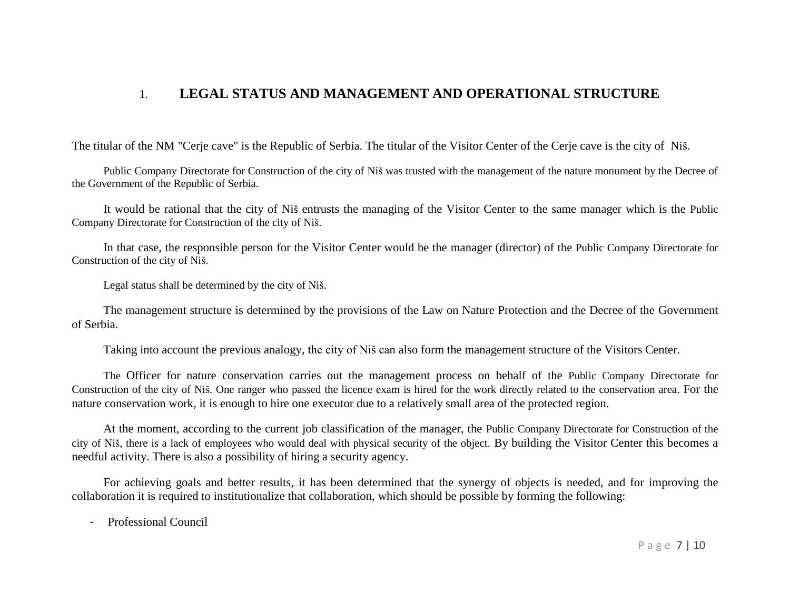### 1. **LEGAL STATUS AND MANAGEMENT AND OPERATIONAL STRUCTURE**

The titular of the NM "Cerje cave" is the Republic of Serbia. The titular of the Visitor Center of the Cerje cave is the city of Niš.

Public Company Directorate for Construction of the city of Niš was trusted with the management of the nature monument by the Decree of the Government of the Republic of Serbia.

It would be rational that the city of Niš entrusts the managing of the Visitor Center to the same manager which is the Public Company Directorate for Construction of the city of Niš.

In that case, the responsible person for the Visitor Center would be the manager (director) of the Public Company Directorate for Construction of the city of Niš.

Legal status shall be determined by the city of Niš.

The management structure is determined by the provisions of the Law on Nature Protection and the Decree of the Government of Serbia.

Taking into account the previous analogy, the city of Niš can also form the management structure of the Visitors Center.

The Officer for nature conservation carries out the management process on behalf of the Public Company Directorate for Construction of the city of Niš. One ranger who passed the licence exam is hired for the work directly related to the conservation area. For the nature conservation work, it is enough to hire one executor due to a relatively small area of the protected region.

At the moment, according to the current job classification of the manager, the Public Company Directorate for Construction of the city of Niš, there is a lack of employees who would deal with physical security of the object. By building the Visitor Center this becomes a needful activity. There is also a possibility of hiring a security agency.

For achieving goals and better results, it has been determined that the synergy of objects is needed, and for improving the collaboration it is required to institutionalize that collaboration, which should be possible by forming the following:

- Professional Council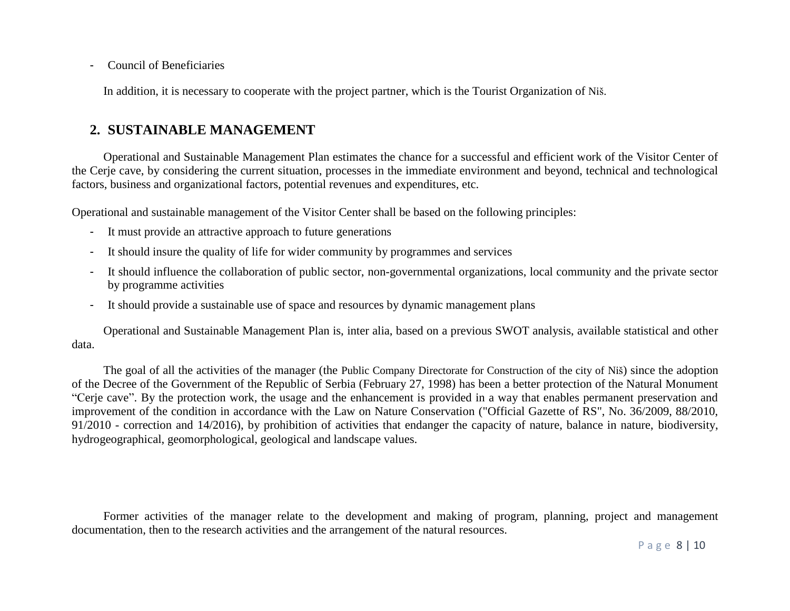- Council of Beneficiaries

In addition, it is necessary to cooperate with the project partner, which is the Tourist Organization of Niš.

# **2. SUSTAINABLE MANAGEMENT**

Operational and Sustainable Management Plan estimates the chance for a successful and efficient work of the Visitor Center of the Cerje cave, by considering the current situation, processes in the immediate environment and beyond, technical and technological factors, business and organizational factors, potential revenues and expenditures, etc.

Operational and sustainable management of the Visitor Center shall be based on the following principles:

- It must provide an attractive approach to future generations
- It should insure the quality of life for wider community by programmes and services
- It should influence the collaboration of public sector, non-governmental organizations, local community and the private sector by programme activities
- It should provide a sustainable use of space and resources by dynamic management plans

Operational and Sustainable Management Plan is, inter alia, based on a previous SWOT analysis, available statistical and other data.

The goal of all the activities of the manager (the Public Company Directorate for Construction of the city of Niš) since the adoption of the Decree of the Government of the Republic of Serbia (February 27, 1998) has been a better protection of the Natural Monument "Cerje cave". By the protection work, the usage and the enhancement is provided in a way that enables permanent preservation and improvement of the condition in accordance with the Law on Nature Conservation ("Official Gazette of RS", No. 36/2009, 88/2010, 91/2010 - correction and 14/2016), by prohibition of activities that endanger the capacity of nature, balance in nature, biodiversity, hydrogeographical, geomorphological, geological and landscape values.

Former activities of the manager relate to the development and making of program, planning, project and management documentation, then to the research activities and the arrangement of the natural resources.

P a g e 8 | 10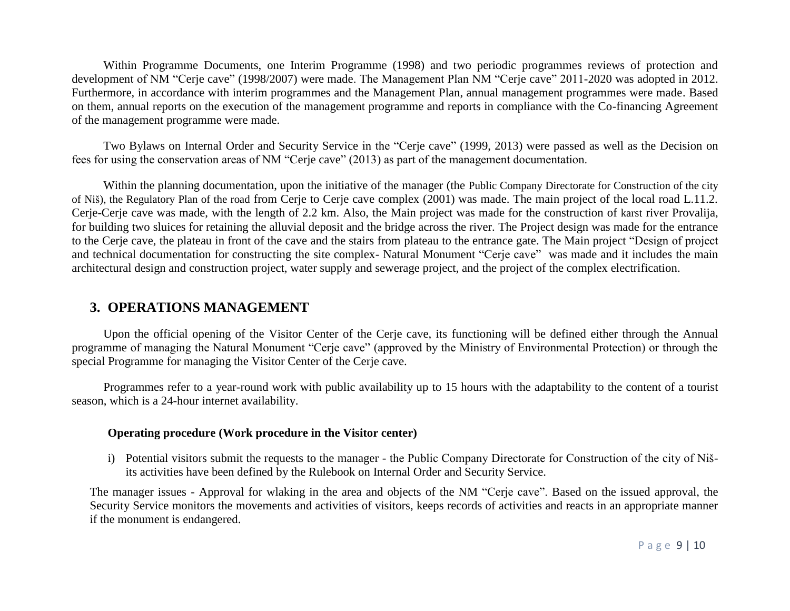Within Programme Documents, one Interim Programme (1998) and two periodic programmes reviews of protection and development of NM "Cerje cave" (1998/2007) were made. The Management Plan NM "Cerje cave" 2011-2020 was adopted in 2012. Furthermore, in accordance with interim programmes and the Management Plan, annual management programmes were made. Based on them, annual reports on the execution of the management programme and reports in compliance with the Co-financing Agreement of the management programme were made.

Two Bylaws on Internal Order and Security Service in the "Cerje cave" (1999, 2013) were passed as well as the Decision on fees for using the conservation areas of NM "Cerje cave" (2013) as part of the management documentation.

Within the planning documentation, upon the initiative of the manager (the Public Company Directorate for Construction of the city of Niš), the Regulatory Plan of the road from Cerje to Cerje cave complex (2001) was made. The main project of the local road L.11.2. Cerje-Cerje cave was made, with the length of 2.2 km. Also, the Main project was made for the construction of karst river Provalija, for building two sluices for retaining the alluvial deposit and the bridge across the river. The Project design was made for the entrance to the Cerje cave, the plateau in front of the cave and the stairs from plateau to the entrance gate. The Main project "Design of project and technical documentation for constructing the site complex- Natural Monument "Cerje cave" was made and it includes the main architectural design and construction project, water supply and sewerage project, and the project of the complex electrification.

### **3. OPERATIONS MANAGEMENT**

Upon the official opening of the Visitor Center of the Cerje cave, its functioning will be defined either through the Annual programme of managing the Natural Monument "Cerje cave" (approved by the Ministry of Environmental Protection) or through the special Programme for managing the Visitor Center of the Cerje cave.

Programmes refer to a year-round work with public availability up to 15 hours with the adaptability to the content of a tourist season, which is a 24-hour internet availability.

#### **Operating procedure (Work procedure in the Visitor center)**

i) Potential visitors submit the requests to the manager - the Public Company Directorate for Construction of the city of Nišits activities have been defined by the Rulebook on Internal Order and Security Service.

The manager issues - Approval for wlaking in the area and objects of the NM "Cerje cave". Based on the issued approval, the Security Service monitors the movements and activities of visitors, keeps records of activities and reacts in an appropriate manner if the monument is endangered.